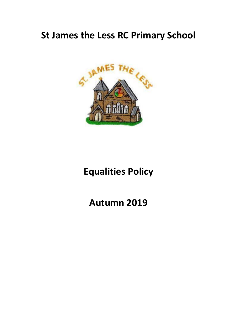# **St James the Less RC Primary School**



# **Equalities Policy**

**Autumn 2019**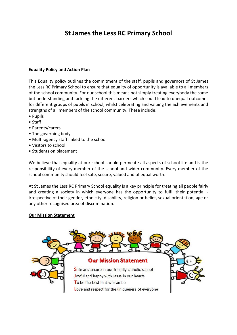# **St James the Less RC Primary School**

# **Equality Policy and Action Plan**

This Equality policy outlines the commitment of the staff, pupils and governors of St James the Less RC Primary School to ensure that equality of opportunity is available to all members of the school community. For our school this means not simply treating everybody the same but understanding and tackling the different barriers which could lead to unequal outcomes for different groups of pupils in school, whilst celebrating and valuing the achievements and strengths of all members of the school community. These include:

- Pupils
- Staff
- Parents/carers
- The governing body
- Multi-agency staff linked to the school
- Visitors to school
- Students on placement

We believe that equality at our school should permeate all aspects of school life and is the responsibility of every member of the school and wider community. Every member of the school community should feel safe, secure, valued and of equal worth.

At St James the Less RC Primary School equality is a key principle for treating all people fairly and creating a society in which everyone has the opportunity to fulfil their potential irrespective of their gender, ethnicity, disability, religion or belief, sexual orientation, age or any other recognised area of discrimination.

# **Our Mission Statement**

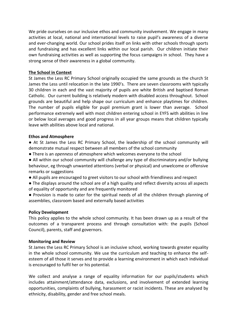We pride ourselves on our inclusive ethos and community involvement. We engage in many activities at local, national and international levels to raise pupil's awareness of a diverse and ever-changing world. Our school prides itself on links with other schools through sports and fundraising and has excellent links within our local parish. Our children initiate their own fundraising activities as well as supporting the focus campaigns in school. They have a strong sense of their awareness in a global community.

# **The School in Context**

St James the Less RC Primary School originally occupied the same grounds as the church St James the Less until relocation in the late 1990's. There are seven classrooms with typically 30 children in each and the vast majority of pupils are white British and baptised Roman Catholic. Our current building is relatively modern with disabled access throughout. School grounds are beautiful and help shape our curriculum and enhance playtimes for children. The number of pupils eligible for pupil premium grant is lower than average. School performance extremely well with most children entering school in EYFS with abilities in line or below local averages and good progress in all year groups means that children typically leave with abilities above local and national.

#### **Ethos and Atmosphere**

● At St James the Less RC Primary School, the leadership of the school community will demonstrate mutual respect between all members of the school community

● There is an *openness* of atmosphere which welcomes everyone to the school

● All within our school community will challenge any type of discriminatory and/or bullying behaviour, eg through unwanted attentions (verbal or physical) and unwelcome or offensive remarks or suggestions

- All pupils are encouraged to greet visitors to our school with friendliness and respect
- The displays around the school are of a high quality and reflect diversity across all aspects of equality of opportunity and are frequently monitored

● Provision is made to cater for the spiritual needs of all the children through planning of assemblies, classroom based and externally based activities

# **Policy Development**

This policy applies to the whole school community. It has been drawn up as a result of the outcomes of a transparent process and through consultation with: the pupils (School Council), parents, staff and governors.

# **Monitoring and Review**

St James the Less RC Primary School is an inclusive school, working towards greater equality in the whole school community. We use the curriculum and teaching to enhance the selfesteem of all those it serves and to provide a learning environment in which each individual is encouraged to fulfil her or his potential.

We collect and analyse a range of equality information for our pupils/students which includes attainment/attendance data, exclusions, and involvement of extended learning opportunities, complaints of bullying, harassment or racist incidents. These are analysed by ethnicity, disability, gender and free school meals.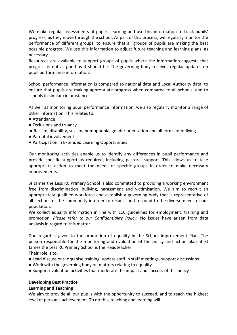We make regular assessments of pupils' learning and use this information to track pupils' progress, as they move through the school. As part of this process, we regularly monitor the performance of different groups, to ensure that all groups of pupils are making the best possible progress. We use this information to adjust future teaching and learning plans, as necessary.

Resources are available to support groups of pupils where the information suggests that progress is not as good as it should be. The governing body receives regular updates on pupil performance information.

School performance information is compared to national data and Local Authority data, to ensure that pupils are making appropriate progress when compared to all schools, and to schools in similar circumstances.

As well as monitoring pupil performance information, we also regularly monitor a range of other information. This relates to:

- Attendance
- Exclusions and truancy
- Racism, disability, sexism, homophobia, gender orientation and all forms of bullying
- Parental involvement
- Participation in Extended Learning Opportunities

Our monitoring activities enable us to identify any differences in pupil performance and provide specific support as required, including pastoral support. This allows us to take appropriate action to meet the needs of specific groups in order to make necessary improvements.

St James the Less RC Primary School is also committed to providing a working environment free from discrimination, bullying, harassment and victimisation. We aim to recruit an appropriately qualified workforce and establish a governing body that is representative of all sections of the community in order to respect and respond to the diverse needs of our population.

We collect equality information in line with LCC guidelines for employment, training and promotion. *Please refer to our Confidentiality Policy.* No issues have arisen from data analysis in regard to this matter.

Due regard is given to the promotion of equality in the School Improvement Plan. The person responsible for the monitoring and evaluation of the policy and action plan at St James the Less RC Primary School is the Headteacher

Their role is to:

- Lead discussions, organise training, update staff in staff meetings, support discussions
- Work with the governing body on matters relating to equality
- Support evaluation activities that moderate the impact and success of this policy

#### **Developing Best Practice**

#### **Learning and Teaching**

We aim to provide all our pupils with the opportunity to succeed, and to reach the highest level of personal achievement. To do this, teaching and learning will: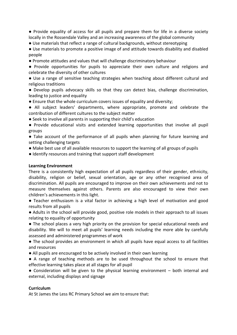● Provide equality of access for all pupils and prepare them for life in a diverse society locally in the Rossendale Valley and an increasing awareness of the global community

● Use materials that reflect a range of cultural backgrounds, without stereotyping

● Use materials to promote a positive image of and attitude towards disability and disabled people

● Promote attitudes and values that will challenge discriminatory behaviour

● Provide opportunities for pupils to appreciate their own culture and religions and celebrate the diversity of other cultures

● Use a range of sensitive teaching strategies when teaching about different cultural and religious traditions

● Develop pupils advocacy skills so that they can detect bias, challenge discrimination, leading to justice and equality

● Ensure that the whole curriculum covers issues of equality and diversity;

● All subject leaders' departments, where appropriate, promote and celebrate the contribution of different cultures to the subject matter

● Seek to involve all parents in supporting their child's education

● Provide educational visits and extended learning opportunities that involve all pupil groups

● Take account of the performance of all pupils when planning for future learning and setting challenging targets

- Make best use of all available resources to support the learning of all groups of pupils
- Identify resources and training that support staff development

# **Learning Environment**

There is a consistently high expectation of all pupils regardless of their gender, ethnicity, disability, religion or belief, sexual orientation, age or any other recognised area of discrimination. All pupils are encouraged to improve on their own achievements and not to measure themselves against others. Parents are also encouraged to view their own children's achievements in this light.

● Teacher enthusiasm is a vital factor in achieving a high level of motivation and good results from all pupils

● Adults in the school will provide good, positive role models in their approach to all issues relating to equality of opportunity

● The school places a very high priority on the provision for special educational needs and disability. We will to meet all pupils' learning needs including the more able by carefully assessed and administered programmes of work

● The school provides an environment in which all pupils have equal access to all facilities and resources

● All pupils are encouraged to be actively involved in their own learning

● A range of teaching methods are to be used throughout the school to ensure that effective learning takes place at all stages for all pupil

 $\bullet$  Consideration will be given to the physical learning environment – both internal and external, including displays and signage

# **Curriculum**

At St James the Less RC Primary School we aim to ensure that: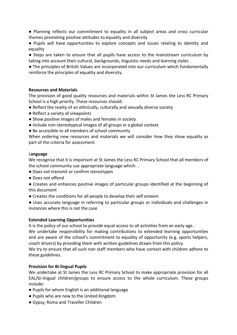● Planning reflects our commitment to equality in all subject areas and cross curricular themes promoting positive attitudes to equality and diversity

● Pupils will have opportunities to explore concepts and issues relating to identity and equality

● Steps are taken to ensure that all pupils have access to the mainstream curriculum by taking into account their cultural, backgrounds, linguistic needs and learning styles

● The principles of British Values are incorporated into our curriculum which fundamentally reinforce the principles of equality and diversity.

# **Resources and Materials**

The provision of good quality resources and materials within St James the Less RC Primary School is a high priority. These resources should:

- Reflect the reality of an ethnically, culturally and sexually diverse society
- Reflect a variety of viewpoints
- Show positive images of males and females in society
- Include non-stereotypical images of all groups in a global context
- Be accessible to all members of school community

When ordering new resources and materials we will consider how they show equality as part of the criteria for assessment.

# L**anguage**

We recognise that it is important at St James the Less RC Primary School that all members of the school community use appropriate language which: .

● Does not transmit or confirm stereotypes

- Does not offend
- Creates and enhances positive images of particular groups identified at the beginning of this document
- Creates the conditions for all people to develop their self esteem

● Uses accurate language in referring to particular groups or individuals and challenges in instances where this is not the case

# **Extended Learning Opportunities**

It is the policy of our school to provide equal access to all activities from an early age.

We undertake responsibility for making contributions to extended learning opportunities and are aware of the school's commitment to equality of opportunity (e.g. sports helpers, coach drivers) by providing them with written guidelines drawn from this policy.

We try to ensure that all such non staff members who have contact with children adhere to these guidelines.

# **Provision for Bi-lingual Pupils**

We undertake at St James the Less RC Primary School to make appropriate provision for all EAL/bi-lingual children/groups to ensure access to the whole curriculum. These groups include:

- Pupils for whom English is an additional language
- Pupils who are new to the United Kingdom
- Gypsy, Roma and Traveller Children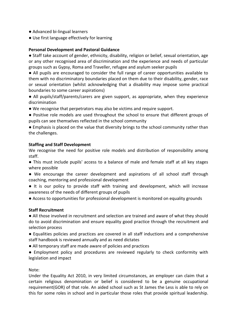- Advanced bi-lingual learners
- Use first language effectively for learning

# **Personal Development and Pastoral Guidance**

● Staff take account of gender, ethnicity, disability, religion or belief, sexual orientation, age or any other recognised area of discrimination and the experience and needs of particular groups such as Gypsy, Roma and Traveller, refugee and asylum seeker pupils

● All pupils are encouraged to consider the full range of career opportunities available to them with no discriminatory boundaries placed on them due to their disability, gender, race or sexual orientation (whilst acknowledging that a disability may impose some practical boundaries to some career aspirations)

● All pupils/staff/parents/carers are given support, as appropriate, when they experience discrimination

- We recognise that perpetrators may also be victims and require support.
- Positive role models are used throughout the school to ensure that different groups of pupils can see themselves reflected in the school community

● Emphasis is placed on the value that diversity brings to the school community rather than the challenges.

# **Staffing and Staff Development**

We recognise the need for positive role models and distribution of responsibility among staff.

● This must include pupils' access to a balance of male and female staff at all key stages where possible

● We encourage the career development and aspirations of all school staff through coaching, mentoring and professional development

● It is our policy to provide staff with training and development, which will increase awareness of the needs of different groups of pupils

● Access to opportunities for professional development is monitored on equality grounds

# **Staff Recruitment**

● All those involved in recruitment and selection are trained and aware of what they should do to avoid discrimination and ensure equality good practice through the recruitment and selection process

● Equalities policies and practices are covered in all staff inductions and a comprehensive staff handbook is reviewed annually and as need dictates

● All temporary staff are made aware of policies and practices

● Employment policy and procedures are reviewed regularly to check conformity with legislation and impact

# Note:

Under the Equality Act 2010, in very limited circumstances, an employer can claim that a certain religious denomination or belief is considered to be a genuine occupational requirement(GOR) of that role. An aided school such as St James the Less is able to rely on this for some roles in school and in particular those roles that provide spiritual leadership.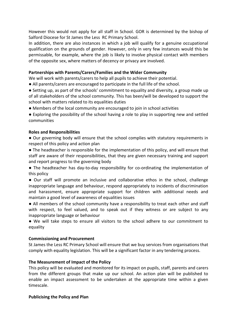However this would not apply for all staff in School. GOR is determined by the bishop of Salford Diocese for St James the Less RC Primary School.

In addition, there are also instances in which a job will qualify for a genuine occupational qualification on the grounds of gender. However, only in very few instances would this be permissable, for example, where the job is likely to involve physical contact with members of the opposite sex, where matters of decency or privacy are involved.

# **Partnerships with Parents/Carers/Families and the Wider Community**

We will work with parents/carers to help all pupils to achieve their potential.

- All parents/carers are encouraged to participate in the full life of the school.
- Setting up, as part of the schools' commitment to equality and diversity, a group made up of all stakeholders of the school community. This has been/will be developed to support the school with matters related to its equalities duties
- Members of the local community are encouraged to join in school activities

● Exploring the possibility of the school having a role to play in supporting new and settled communities

# **Roles and Responsibilities**

● Our governing body will ensure that the school complies with statutory requirements in respect of this policy and action plan

● The headteacher is responsible for the implementation of this policy, and will ensure that staff are aware of their responsibilities, that they are given necessary training and support and report progress to the governing body

● The headteacher has day-to-day responsibility for co-ordinating the implementation of this policy

● Our staff will promote an inclusive and collaborative ethos in the school, challenge inappropriate language and behaviour, respond appropriately to incidents of discrimination and harassment, ensure appropriate support for children with additional needs and maintain a good level of awareness of equalities issues

● All members of the school community have a responsibility to treat each other and staff with respect, to feel valued, and to speak out if they witness or are subject to any inappropriate language or behaviour

● We will take steps to ensure all visitors to the school adhere to our commitment to equality

# **Commissioning and Procurement**

St James the Less RC Primary School will ensure that we buy services from organisations that comply with equality legislation. This will be a significant factor in any tendering process.

# **The Measurement of Impact of the Policy**

This policy will be evaluated and monitored for its impact on pupils, staff, parents and carers from the different groups that make up our school. An action plan will be published to enable an impact assessment to be undertaken at the appropriate time within a given timescale.

# **Publicising the Policy and Plan**